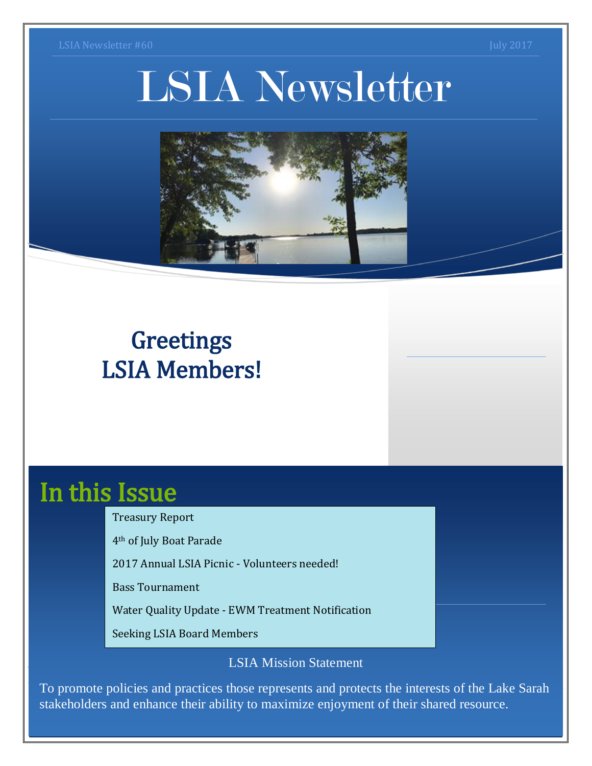# LSIA Newsletter



# **Greetings** LSIA Members!

# In this Issue

Treasury Report

4th of July Boat Parade

2017 Annual LSIA Picnic - Volunteers needed!

Bass Tournament

Water Quality Update - EWM Treatment Notification

Seeking LSIA Board Members

LSIA Mission Statement

To promote policies and practices those represents and protects the interests of the Lake Sarah stakeholders and enhance their ability to maximize enjoyment of their shared resource.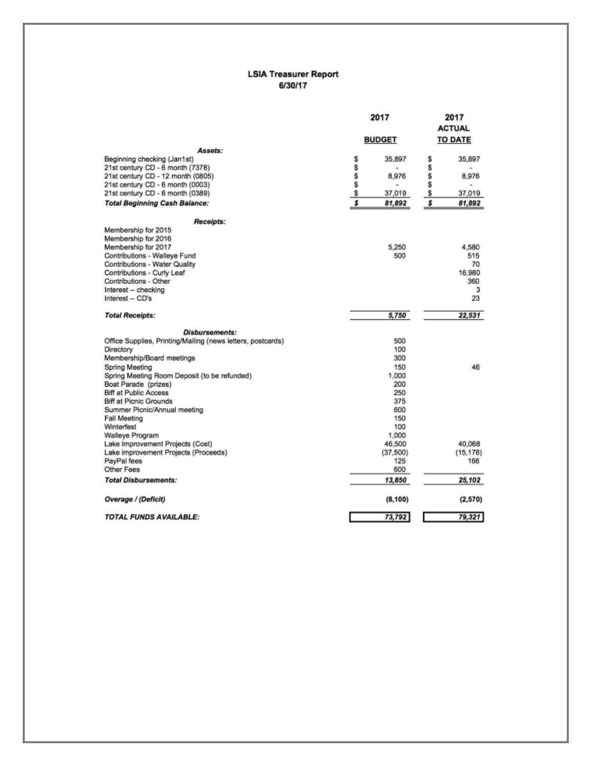#### **LSIA Treasurer Report** 6/30/17

|                                                             | 2017          | 2017<br><b>ACTUAL</b> |  |
|-------------------------------------------------------------|---------------|-----------------------|--|
|                                                             | <b>BUDGET</b> | <b>TO DATE</b>        |  |
| Assets:                                                     |               |                       |  |
| Beginning checking (Jan1st)                                 | s<br>35,897   | s<br>35,897           |  |
| 21st century CD - 6 month (7378)                            | s<br>۰        | S                     |  |
| 21st century CD - 12 month (0805)                           | \$<br>8,976   | \$<br>8,976           |  |
| 21st century CD - 6 month (0003)                            | \$            | S                     |  |
| 21st century CD - 6 month (0389)                            | \$<br>37,019  | \$<br>37,019          |  |
| Total Beginning Cash Balance:                               | s<br>81,892   | \$<br>81,892          |  |
| Receipts:                                                   |               |                       |  |
| Membership for 2015                                         |               |                       |  |
| Membership for 2016                                         |               |                       |  |
| Membership for 2017                                         | 5,250         | 4,580                 |  |
| Contributions - Walleye Fund                                | 500           | 515                   |  |
| Contributions - Water Quality                               |               | 70                    |  |
| Contributions - Curly Leaf                                  |               | 16,980                |  |
| Contributions - Other                                       |               | 360                   |  |
| Interest -- checking                                        |               | з                     |  |
| Interest -- CD's                                            |               | 23                    |  |
| <b>Total Receipts:</b>                                      | 5,750         | 22,531                |  |
| <b>Disbursements:</b>                                       |               |                       |  |
| Office Supplies, Printing/Mailing (news letters, postcards) | 500           |                       |  |
| Directory                                                   | 100           |                       |  |
| Membership/Board meetings                                   | 300           |                       |  |
| Spring Meeting                                              | 150           | 46                    |  |
| Spring Meeting Room Deposit (to be refunded)                | 1.000         |                       |  |
| Boat Parade (prizes)                                        | 200           |                       |  |
| Biff at Public Access                                       | 250           |                       |  |
| Biff at Picnic Grounds                                      | 375           |                       |  |
| Summer Picnic/Annual meeting                                | 600           |                       |  |
| Fall Meeting                                                | 150           |                       |  |
| Winterfest                                                  | 100           |                       |  |
| Walleye Program                                             | 1,000         |                       |  |
| Lake Improvement Projects (Cost)                            | 46,500        | 40,068                |  |
| Lake improvement Projects (Proceeds)                        | (37, 500)     | (15, 178)             |  |
| PayPal fees                                                 | 125           | 166                   |  |
| Other Fees                                                  | 600           |                       |  |
| <b>Total Disbursements:</b>                                 | 13,850        | 25,102                |  |
| Overage / (Deficit)                                         | (8, 100)      | (2,570)               |  |
| <b>TOTAL FUNDS AVAILABLE:</b>                               | 73,792        | 79,321                |  |
|                                                             |               |                       |  |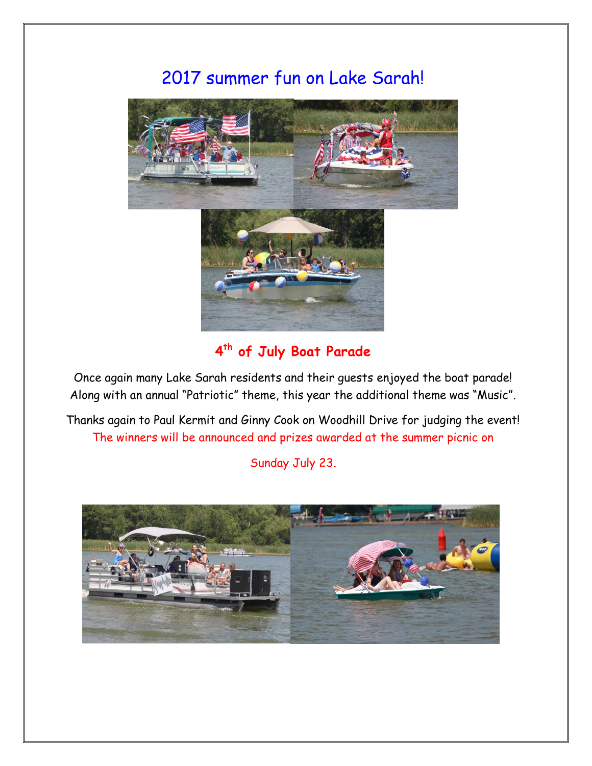### 2017 summer fun on Lake Sarah!



#### **4 th of July Boat Parade**

Once again many Lake Sarah residents and their guests enjoyed the boat parade! Along with an annual "Patriotic" theme, this year the additional theme was "Music".

Thanks again to Paul Kermit and Ginny Cook on Woodhill Drive for judging the event! The winners will be announced and prizes awarded at the summer picnic on

Sunday July 23.

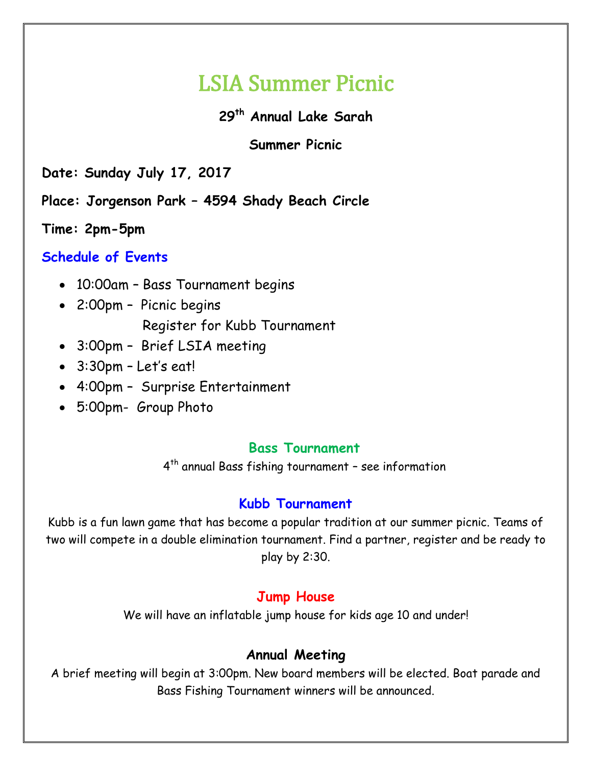# LSIA Summer Picnic

#### **29th Annual Lake Sarah**

#### **Summer Picnic**

**Date: Sunday July 17, 2017**

**Place: Jorgenson Park – 4594 Shady Beach Circle**

**Time: 2pm-5pm** 

#### **Schedule of Events**

- 10:00am Bass Tournament begins
- 2:00pm Picnic begins Register for Kubb Tournament
- 3:00pm Brief LSIA meeting
- 3:30pm Let's eat!
- 4:00pm Surprise Entertainment
- 5:00pm- Group Photo

#### **Bass Tournament**

4 th annual Bass fishing tournament – see information

#### **Kubb Tournament**

Kubb is a fun lawn game that has become a popular tradition at our summer picnic. Teams of two will compete in a double elimination tournament. Find a partner, register and be ready to play by 2:30.

#### **Jump House**

We will have an inflatable jump house for kids age 10 and under!

#### **Annual Meeting**

A brief meeting will begin at 3:00pm. New board members will be elected. Boat parade and Bass Fishing Tournament winners will be announced.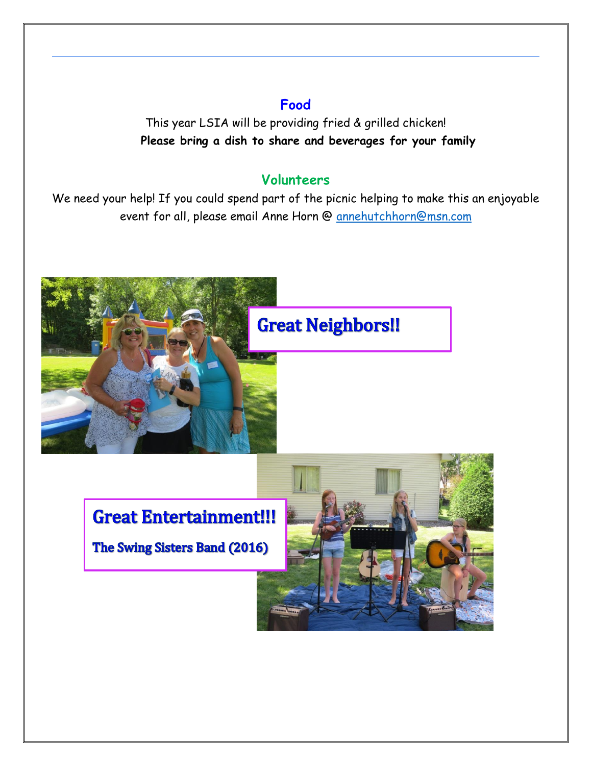#### **Food**

This year LSIA will be providing fried & grilled chicken! **Please bring a dish to share and beverages for your family**

#### **Volunteers**

We need your help! If you could spend part of the picnic helping to make this an enjoyable event for all, please email Anne Horn @ [annehutchhorn@msn.com](mailto:annehutchhorn@msn.com)



## **Great Entertainment!!!**

The Swing Sisters Band (2016)

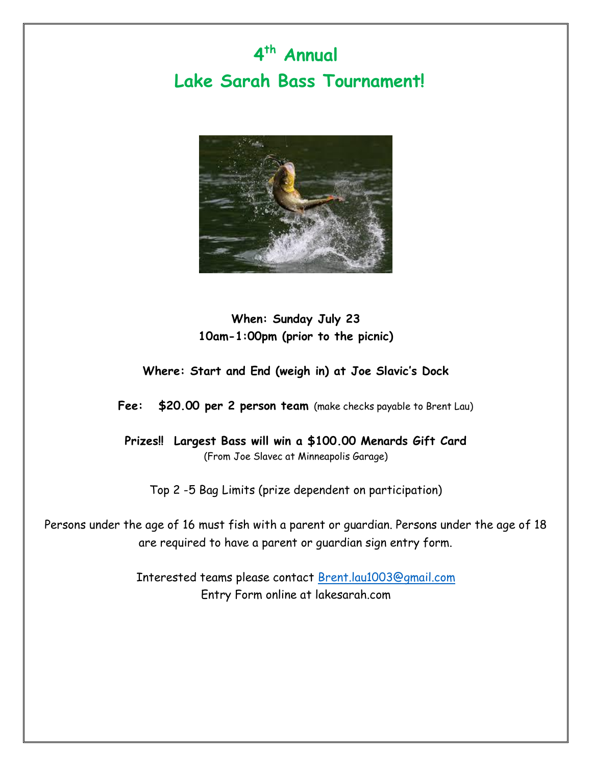# **4 th Annual Lake Sarah Bass Tournament!**



#### **When: Sunday July 23 10am-1:00pm (prior to the picnic)**

#### **Where: Start and End (weigh in) at Joe Slavic's Dock**

**Fee: \$20.00 per 2 person team** (make checks payable to Brent Lau)

**Prizes!! Largest Bass will win a \$100.00 Menards Gift Card** (From Joe Slavec at Minneapolis Garage)

Top 2 -5 Bag Limits (prize dependent on participation)

Persons under the age of 16 must fish with a parent or guardian. Persons under the age of 18 are required to have a parent or guardian sign entry form.

> Interested teams please contact [Brent.lau1003@gmail.com](mailto:Brent.lau1003@gmail.com) Entry Form online at lakesarah.com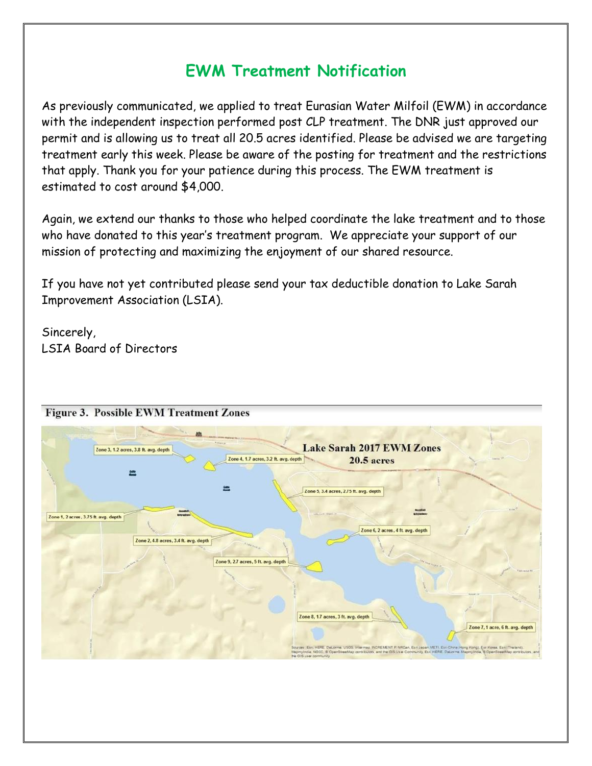### **EWM Treatment Notification**

As previously communicated, we applied to treat Eurasian Water Milfoil (EWM) in accordance with the independent inspection performed post CLP treatment. The DNR just approved our permit and is allowing us to treat all 20.5 acres identified. Please be advised we are targeting treatment early this week. Please be aware of the posting for treatment and the restrictions that apply. Thank you for your patience during this process. The EWM treatment is estimated to cost around \$4,000.

Again, we extend our thanks to those who helped coordinate the lake treatment and to those who have donated to this year's treatment program. We appreciate your support of our mission of protecting and maximizing the enjoyment of our shared resource.

If you have not yet contributed please send your tax deductible donation to Lake Sarah Improvement Association (LSIA).

Sincerely, LSIA Board of Directors

| 趣<br>Zone 3, 1.2 acres, 3.8 ft. avg. depth                                                      | <b>SAN LOOK AWAY TO LT</b><br>W. Strand Ja<br><b>Lake Sarah 2017 EWM Zones</b><br>Zone 4, 1.7 acres, 3.2 ft. avg. depth<br><b>20.5 acres</b> | tomas 19.                                                                                                                                                                                                                                                                                   |
|-------------------------------------------------------------------------------------------------|----------------------------------------------------------------------------------------------------------------------------------------------|---------------------------------------------------------------------------------------------------------------------------------------------------------------------------------------------------------------------------------------------------------------------------------------------|
| <b>Christian</b>                                                                                | Zone 5, 3.4 acres, 2.75 ft. avg. depth                                                                                                       | <b>William</b>                                                                                                                                                                                                                                                                              |
| <b>kowaton</b><br>Zone 1, 2 acres, 3.75 ft. avg. depth<br>Zone 2, 4.8 acres, 3.4 ft. avg. depth | Lon. Lott Negoti 20                                                                                                                          | <b>Alternations</b><br>Zone 6, 2 acres, 4 ft. avg. depth                                                                                                                                                                                                                                    |
|                                                                                                 | Zone 9, 2.7 acres, 5 ft. avg. depth                                                                                                          | Frank section NH<br>Source: 2                                                                                                                                                                                                                                                               |
|                                                                                                 | Zone 8, 1.7 acres, 3 ft. avg. depth                                                                                                          | Zone 7, 1 acre, 6 ft. avg. depth                                                                                                                                                                                                                                                            |
|                                                                                                 |                                                                                                                                              | Sources: Esri, HERE, DeLorme, USOS, Intermap, INCREMENT P. NRCan, Esri Japan, METI, Esri China (Hong Kong), Esri Korea, Esri (Trailand).<br>MapmyIndia, NSCC, B OpenStreetMap contributors, and the OIS Us ar Community, Esri, HERE, Datzome, MapmyIndia, B OpenStreetMap contributors, and |

#### **Figure 3. Possible EWM Treatment Zones**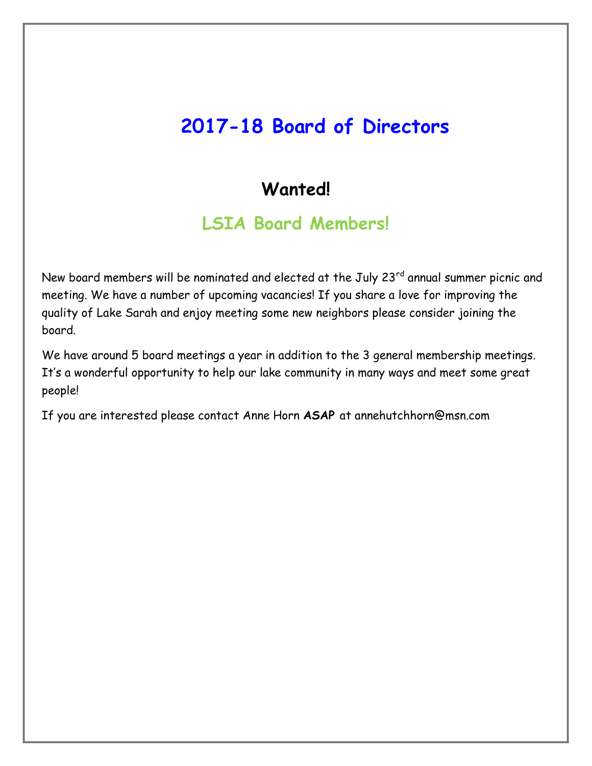# **2017-18 Board of Directors**

### **Wanted!**

### **LSIA Board Members!**

New board members will be nominated and elected at the July 23<sup>rd</sup> annual summer picnic and meeting. We have a number of upcoming vacancies! If you share a love for improving the quality of Lake Sarah and enjoy meeting some new neighbors please consider joining the board.

We have around 5 board meetings a year in addition to the 3 general membership meetings. It's a wonderful opportunity to help our lake community in many ways and meet some great people!

If you are interested please contact Anne Horn **ASAP** at annehutchhorn@msn.com